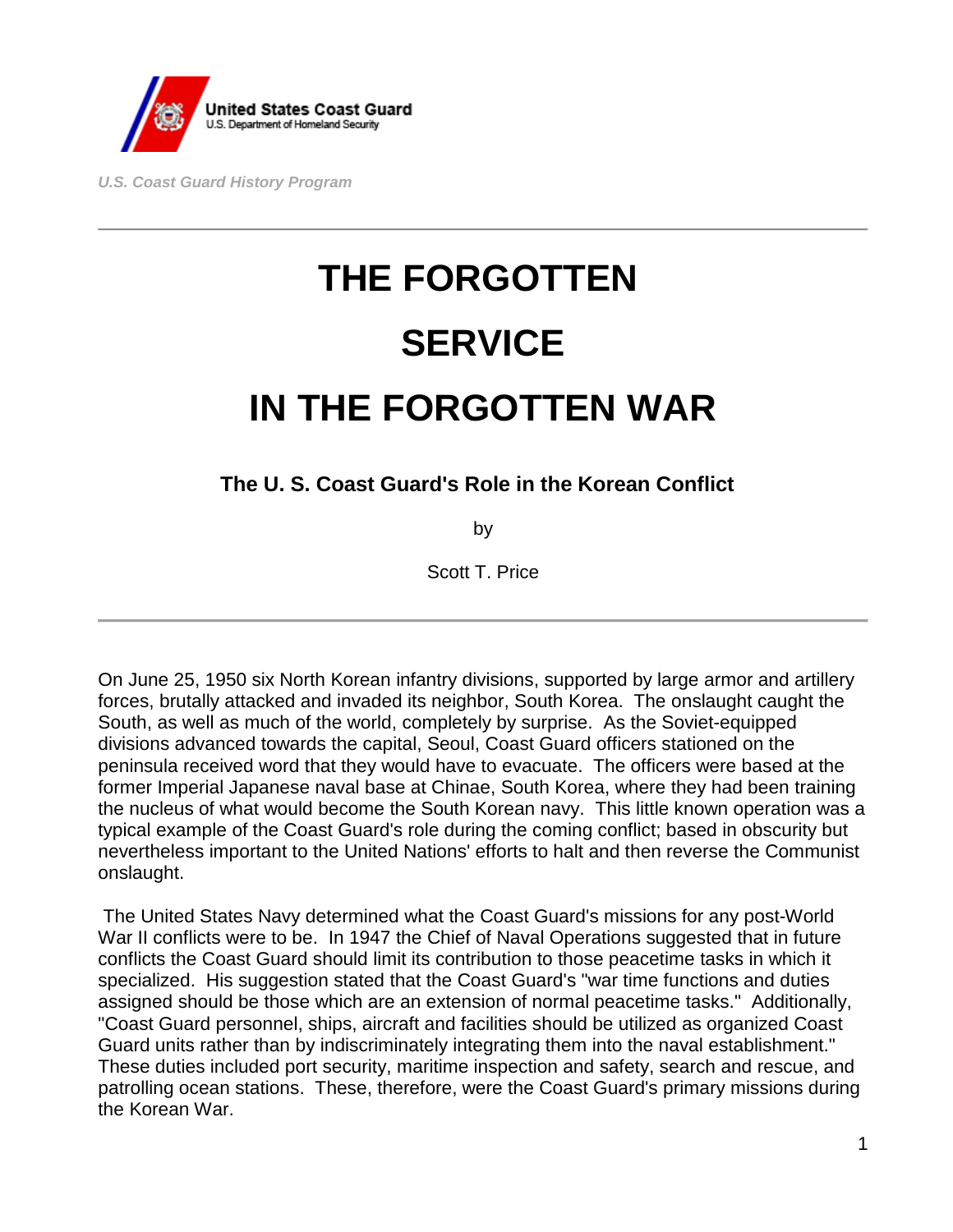

*U.S. Coast Guard History Program* 

# **THE FORGOTTEN SERVICE IN THE FORGOTTEN WAR**

**The U. S. Coast Guard's Role in the Korean Conflict**

by

Scott T. Price

On June 25, 1950 six North Korean infantry divisions, supported by large armor and artillery forces, brutally attacked and invaded its neighbor, South Korea. The onslaught caught the South, as well as much of the world, completely by surprise. As the Soviet-equipped divisions advanced towards the capital, Seoul, Coast Guard officers stationed on the peninsula received word that they would have to evacuate. The officers were based at the former Imperial Japanese naval base at Chinae, South Korea, where they had been training the nucleus of what would become the South Korean navy. This little known operation was a typical example of the Coast Guard's role during the coming conflict; based in obscurity but nevertheless important to the United Nations' efforts to halt and then reverse the Communist onslaught.

The United States Navy determined what the Coast Guard's missions for any post-World War II conflicts were to be. In 1947 the Chief of Naval Operations suggested that in future conflicts the Coast Guard should limit its contribution to those peacetime tasks in which it specialized. His suggestion stated that the Coast Guard's "war time functions and duties assigned should be those which are an extension of normal peacetime tasks." Additionally, "Coast Guard personnel, ships, aircraft and facilities should be utilized as organized Coast Guard units rather than by indiscriminately integrating them into the naval establishment." These duties included port security, maritime inspection and safety, search and rescue, and patrolling ocean stations. These, therefore, were the Coast Guard's primary missions during the Korean War.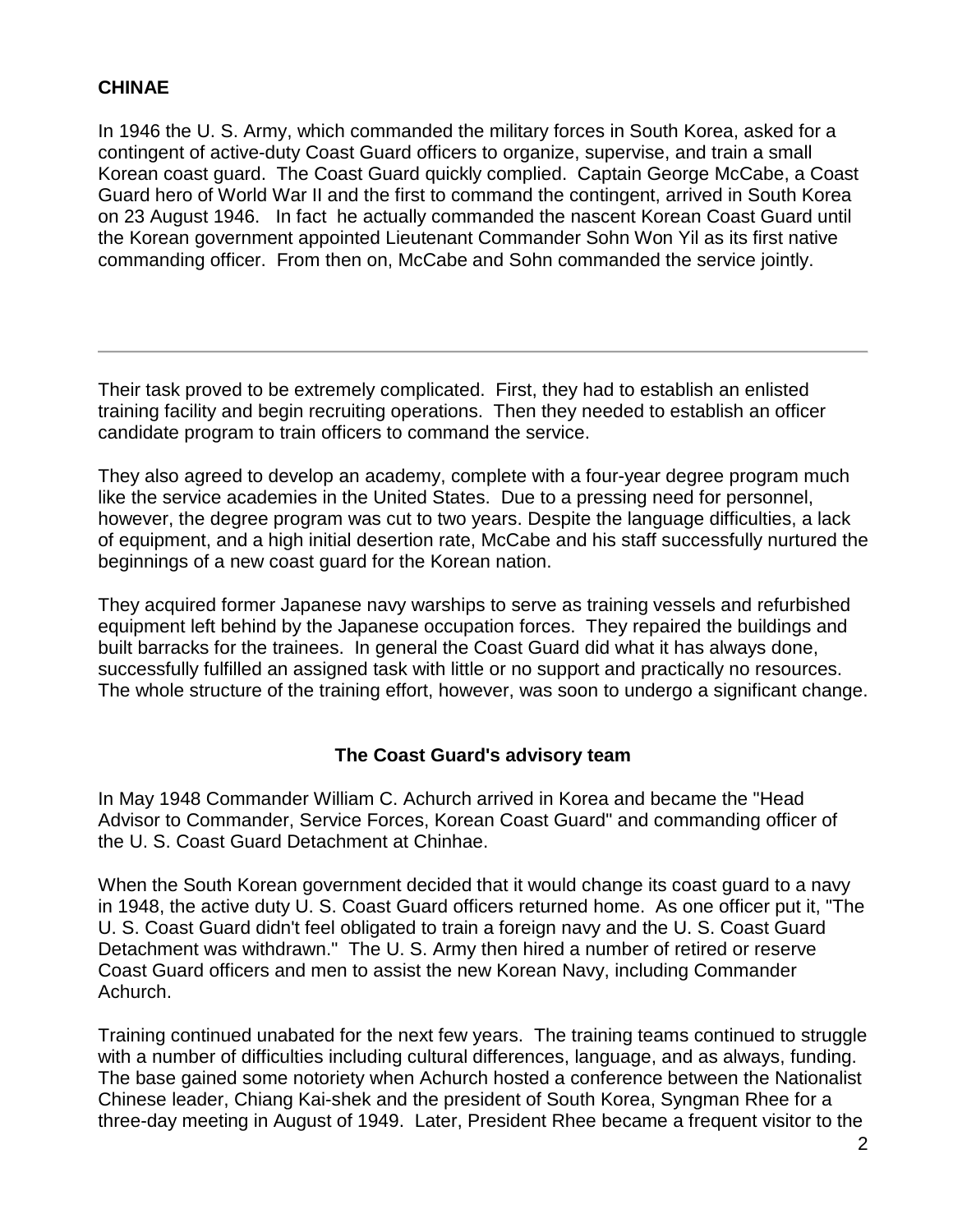### **CHINAE**

In 1946 the U. S. Army, which commanded the military forces in South Korea, asked for a contingent of active-duty Coast Guard officers to organize, supervise, and train a small Korean coast guard. The Coast Guard quickly complied. Captain George McCabe, a Coast Guard hero of World War II and the first to command the contingent, arrived in South Korea on 23 August 1946. In fact he actually commanded the nascent Korean Coast Guard until the Korean government appointed Lieutenant Commander Sohn Won Yil as its first native commanding officer. From then on, McCabe and Sohn commanded the service jointly.

Their task proved to be extremely complicated. First, they had to establish an enlisted training facility and begin recruiting operations. Then they needed to establish an officer candidate program to train officers to command the service.

They also agreed to develop an academy, complete with a four-year degree program much like the service academies in the United States. Due to a pressing need for personnel, however, the degree program was cut to two years. Despite the language difficulties, a lack of equipment, and a high initial desertion rate, McCabe and his staff successfully nurtured the beginnings of a new coast guard for the Korean nation.

They acquired former Japanese navy warships to serve as training vessels and refurbished equipment left behind by the Japanese occupation forces. They repaired the buildings and built barracks for the trainees. In general the Coast Guard did what it has always done, successfully fulfilled an assigned task with little or no support and practically no resources. The whole structure of the training effort, however, was soon to undergo a significant change.

### **The Coast Guard's advisory team**

In May 1948 Commander William C. Achurch arrived in Korea and became the "Head Advisor to Commander, Service Forces, Korean Coast Guard" and commanding officer of the U. S. Coast Guard Detachment at Chinhae.

When the South Korean government decided that it would change its coast guard to a navy in 1948, the active duty U. S. Coast Guard officers returned home. As one officer put it, "The U. S. Coast Guard didn't feel obligated to train a foreign navy and the U. S. Coast Guard Detachment was withdrawn." The U. S. Army then hired a number of retired or reserve Coast Guard officers and men to assist the new Korean Navy, including Commander Achurch.

Training continued unabated for the next few years. The training teams continued to struggle with a number of difficulties including cultural differences, language, and as always, funding. The base gained some notoriety when Achurch hosted a conference between the Nationalist Chinese leader, Chiang Kai-shek and the president of South Korea, Syngman Rhee for a three-day meeting in August of 1949. Later, President Rhee became a frequent visitor to the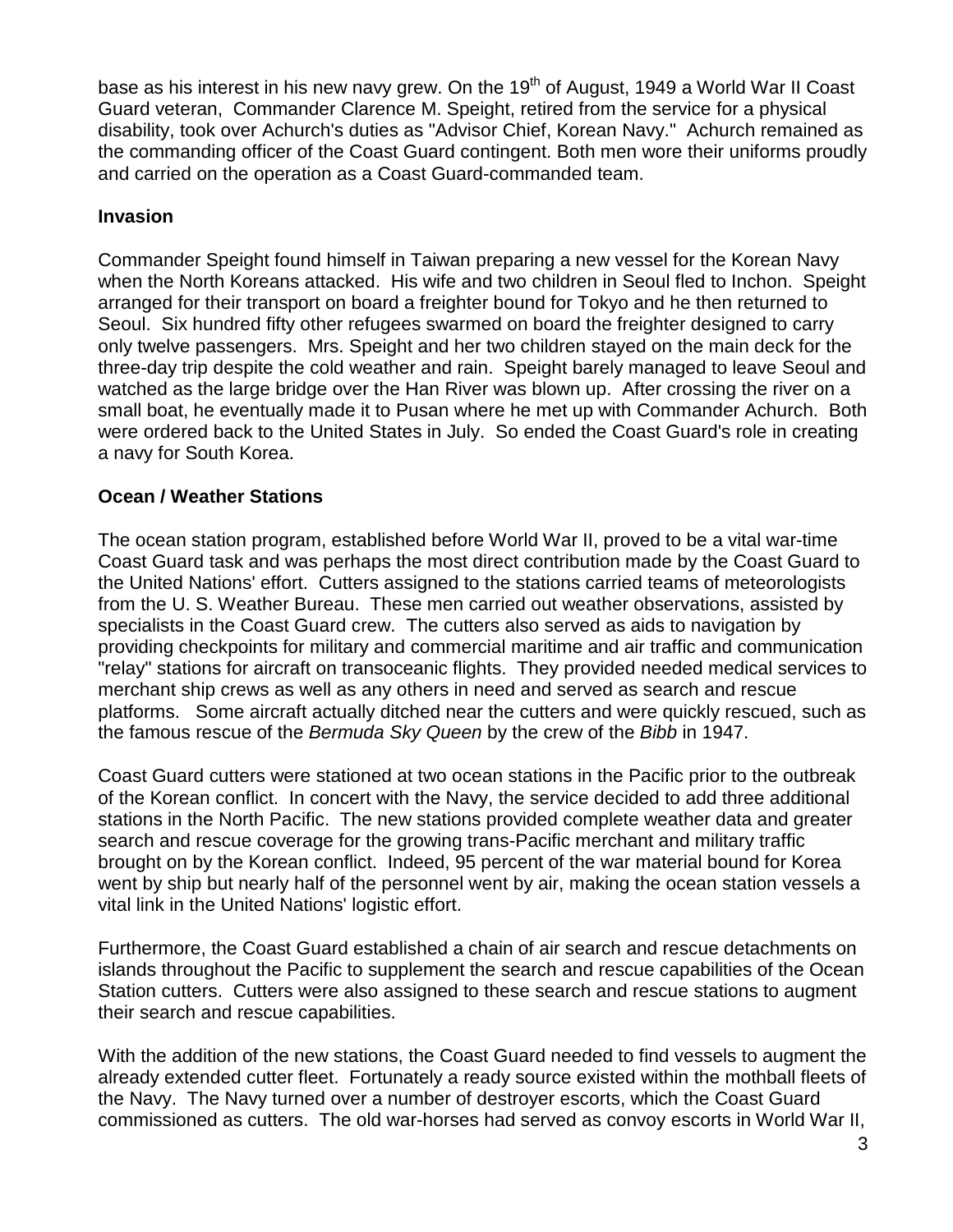base as his interest in his new navy grew. On the  $19<sup>th</sup>$  of August, 1949 a World War II Coast Guard veteran, Commander Clarence M. Speight, retired from the service for a physical disability, took over Achurch's duties as "Advisor Chief, Korean Navy." Achurch remained as the commanding officer of the Coast Guard contingent. Both men wore their uniforms proudly and carried on the operation as a Coast Guard-commanded team.

### **Invasion**

Commander Speight found himself in Taiwan preparing a new vessel for the Korean Navy when the North Koreans attacked. His wife and two children in Seoul fled to Inchon. Speight arranged for their transport on board a freighter bound for Tokyo and he then returned to Seoul. Six hundred fifty other refugees swarmed on board the freighter designed to carry only twelve passengers. Mrs. Speight and her two children stayed on the main deck for the three-day trip despite the cold weather and rain. Speight barely managed to leave Seoul and watched as the large bridge over the Han River was blown up. After crossing the river on a small boat, he eventually made it to Pusan where he met up with Commander Achurch. Both were ordered back to the United States in July. So ended the Coast Guard's role in creating a navy for South Korea.

### **Ocean / Weather Stations**

The ocean station program, established before World War II, proved to be a vital war-time Coast Guard task and was perhaps the most direct contribution made by the Coast Guard to the United Nations' effort. Cutters assigned to the stations carried teams of meteorologists from the U. S. Weather Bureau. These men carried out weather observations, assisted by specialists in the Coast Guard crew. The cutters also served as aids to navigation by providing checkpoints for military and commercial maritime and air traffic and communication "relay" stations for aircraft on transoceanic flights. They provided needed medical services to merchant ship crews as well as any others in need and served as search and rescue platforms. Some aircraft actually ditched near the cutters and were quickly rescued, such as the famous rescue of the *Bermuda Sky Queen* by the crew of the *Bibb* in 1947.

Coast Guard cutters were stationed at two ocean stations in the Pacific prior to the outbreak of the Korean conflict. In concert with the Navy, the service decided to add three additional stations in the North Pacific. The new stations provided complete weather data and greater search and rescue coverage for the growing trans-Pacific merchant and military traffic brought on by the Korean conflict. Indeed, 95 percent of the war material bound for Korea went by ship but nearly half of the personnel went by air, making the ocean station vessels a vital link in the United Nations' logistic effort.

Furthermore, the Coast Guard established a chain of air search and rescue detachments on islands throughout the Pacific to supplement the search and rescue capabilities of the Ocean Station cutters. Cutters were also assigned to these search and rescue stations to augment their search and rescue capabilities.

With the addition of the new stations, the Coast Guard needed to find vessels to augment the already extended cutter fleet. Fortunately a ready source existed within the mothball fleets of the Navy. The Navy turned over a number of destroyer escorts, which the Coast Guard commissioned as cutters. The old war-horses had served as convoy escorts in World War II,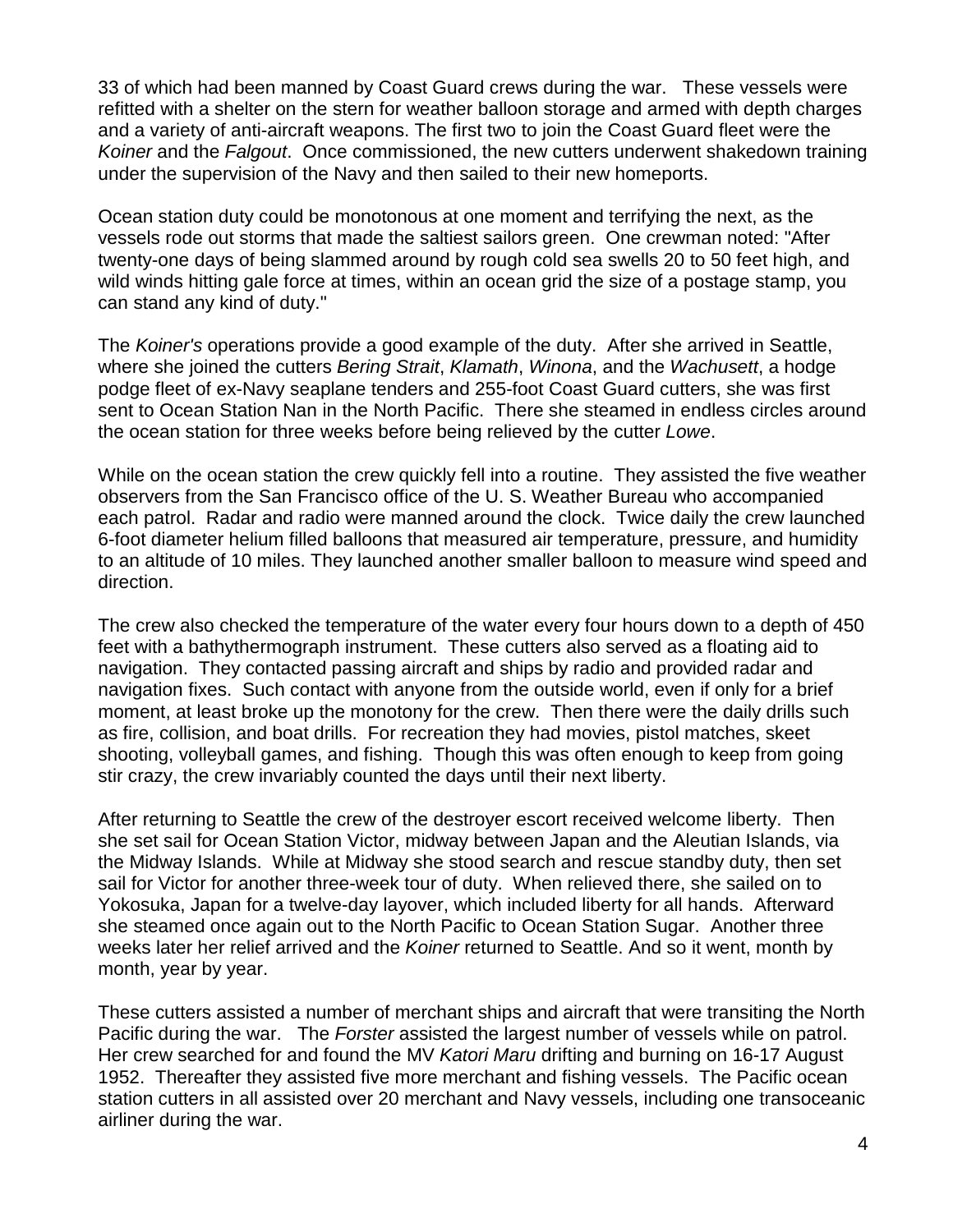33 of which had been manned by Coast Guard crews during the war. These vessels were refitted with a shelter on the stern for weather balloon storage and armed with depth charges and a variety of anti-aircraft weapons. The first two to join the Coast Guard fleet were the *Koiner* and the *Falgout*. Once commissioned, the new cutters underwent shakedown training under the supervision of the Navy and then sailed to their new homeports.

Ocean station duty could be monotonous at one moment and terrifying the next, as the vessels rode out storms that made the saltiest sailors green. One crewman noted: "After twenty-one days of being slammed around by rough cold sea swells 20 to 50 feet high, and wild winds hitting gale force at times, within an ocean grid the size of a postage stamp, you can stand any kind of duty."

The *Koiner's* operations provide a good example of the duty. After she arrived in Seattle, where she joined the cutters *Bering Strait*, *Klamath*, *Winona*, and the *Wachusett*, a hodge podge fleet of ex-Navy seaplane tenders and 255-foot Coast Guard cutters, she was first sent to Ocean Station Nan in the North Pacific. There she steamed in endless circles around the ocean station for three weeks before being relieved by the cutter *Lowe*.

While on the ocean station the crew quickly fell into a routine. They assisted the five weather observers from the San Francisco office of the U. S. Weather Bureau who accompanied each patrol. Radar and radio were manned around the clock. Twice daily the crew launched 6-foot diameter helium filled balloons that measured air temperature, pressure, and humidity to an altitude of 10 miles. They launched another smaller balloon to measure wind speed and direction.

The crew also checked the temperature of the water every four hours down to a depth of 450 feet with a bathythermograph instrument. These cutters also served as a floating aid to navigation. They contacted passing aircraft and ships by radio and provided radar and navigation fixes. Such contact with anyone from the outside world, even if only for a brief moment, at least broke up the monotony for the crew. Then there were the daily drills such as fire, collision, and boat drills. For recreation they had movies, pistol matches, skeet shooting, volleyball games, and fishing. Though this was often enough to keep from going stir crazy, the crew invariably counted the days until their next liberty.

After returning to Seattle the crew of the destroyer escort received welcome liberty. Then she set sail for Ocean Station Victor, midway between Japan and the Aleutian Islands, via the Midway Islands. While at Midway she stood search and rescue standby duty, then set sail for Victor for another three-week tour of duty. When relieved there, she sailed on to Yokosuka, Japan for a twelve-day layover, which included liberty for all hands. Afterward she steamed once again out to the North Pacific to Ocean Station Sugar. Another three weeks later her relief arrived and the *Koiner* returned to Seattle. And so it went, month by month, year by year.

These cutters assisted a number of merchant ships and aircraft that were transiting the North Pacific during the war. The *Forster* assisted the largest number of vessels while on patrol. Her crew searched for and found the MV *Katori Maru* drifting and burning on 16-17 August 1952. Thereafter they assisted five more merchant and fishing vessels. The Pacific ocean station cutters in all assisted over 20 merchant and Navy vessels, including one transoceanic airliner during the war.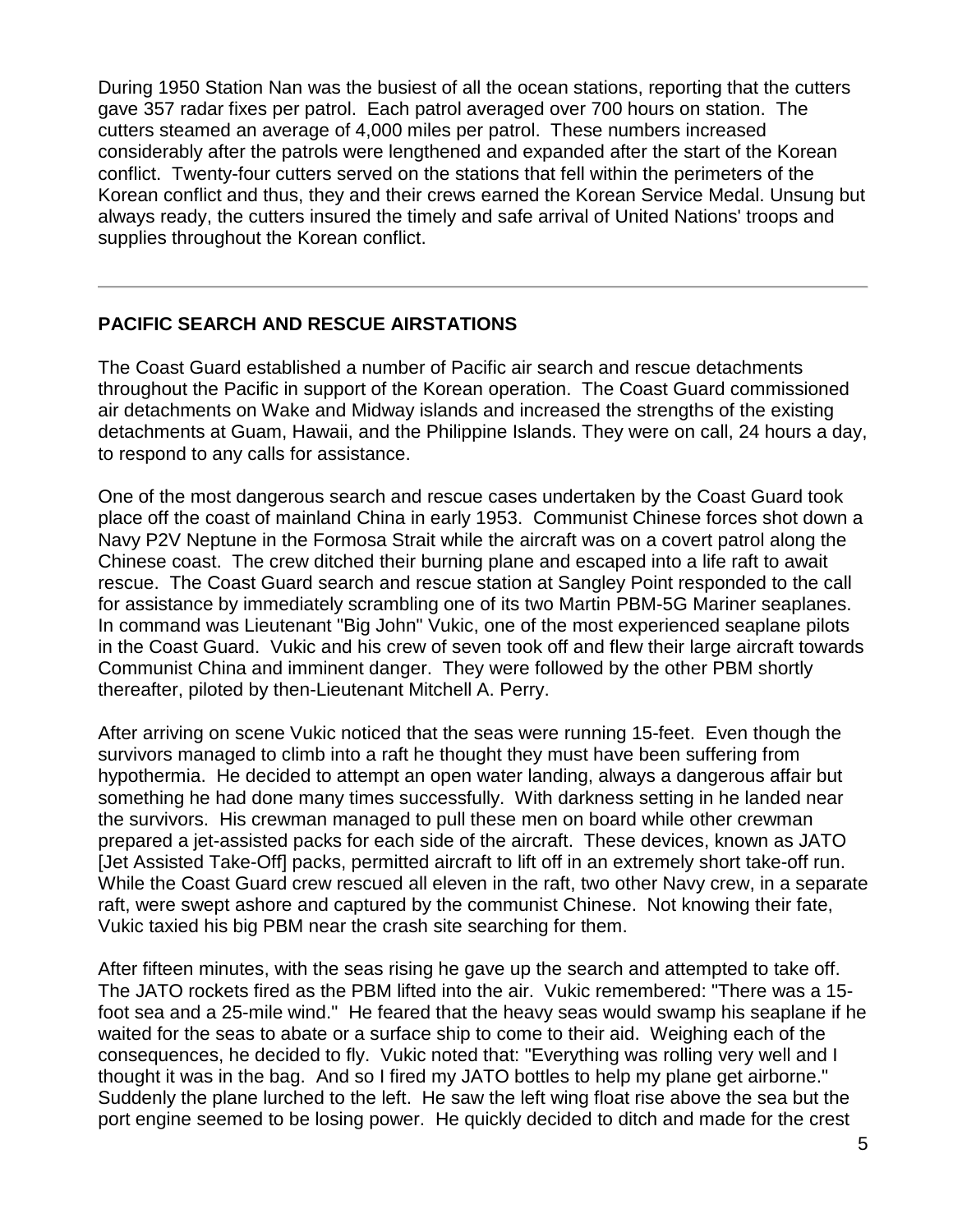During 1950 Station Nan was the busiest of all the ocean stations, reporting that the cutters gave 357 radar fixes per patrol. Each patrol averaged over 700 hours on station. The cutters steamed an average of 4,000 miles per patrol. These numbers increased considerably after the patrols were lengthened and expanded after the start of the Korean conflict. Twenty-four cutters served on the stations that fell within the perimeters of the Korean conflict and thus, they and their crews earned the Korean Service Medal. Unsung but always ready, the cutters insured the timely and safe arrival of United Nations' troops and supplies throughout the Korean conflict.

### **PACIFIC SEARCH AND RESCUE AIRSTATIONS**

The Coast Guard established a number of Pacific air search and rescue detachments throughout the Pacific in support of the Korean operation. The Coast Guard commissioned air detachments on Wake and Midway islands and increased the strengths of the existing detachments at Guam, Hawaii, and the Philippine Islands. They were on call, 24 hours a day, to respond to any calls for assistance.

One of the most dangerous search and rescue cases undertaken by the Coast Guard took place off the coast of mainland China in early 1953. Communist Chinese forces shot down a Navy P2V Neptune in the Formosa Strait while the aircraft was on a covert patrol along the Chinese coast. The crew ditched their burning plane and escaped into a life raft to await rescue. The Coast Guard search and rescue station at Sangley Point responded to the call for assistance by immediately scrambling one of its two Martin PBM-5G Mariner seaplanes. In command was Lieutenant "Big John" Vukic, one of the most experienced seaplane pilots in the Coast Guard. Vukic and his crew of seven took off and flew their large aircraft towards Communist China and imminent danger. They were followed by the other PBM shortly thereafter, piloted by then-Lieutenant Mitchell A. Perry.

After arriving on scene Vukic noticed that the seas were running 15-feet. Even though the survivors managed to climb into a raft he thought they must have been suffering from hypothermia. He decided to attempt an open water landing, always a dangerous affair but something he had done many times successfully. With darkness setting in he landed near the survivors. His crewman managed to pull these men on board while other crewman prepared a jet-assisted packs for each side of the aircraft. These devices, known as JATO [Jet Assisted Take-Off] packs, permitted aircraft to lift off in an extremely short take-off run. While the Coast Guard crew rescued all eleven in the raft, two other Navy crew, in a separate raft, were swept ashore and captured by the communist Chinese. Not knowing their fate, Vukic taxied his big PBM near the crash site searching for them.

After fifteen minutes, with the seas rising he gave up the search and attempted to take off. The JATO rockets fired as the PBM lifted into the air. Vukic remembered: "There was a 15 foot sea and a 25-mile wind." He feared that the heavy seas would swamp his seaplane if he waited for the seas to abate or a surface ship to come to their aid. Weighing each of the consequences, he decided to fly. Vukic noted that: "Everything was rolling very well and I thought it was in the bag. And so I fired my JATO bottles to help my plane get airborne." Suddenly the plane lurched to the left. He saw the left wing float rise above the sea but the port engine seemed to be losing power. He quickly decided to ditch and made for the crest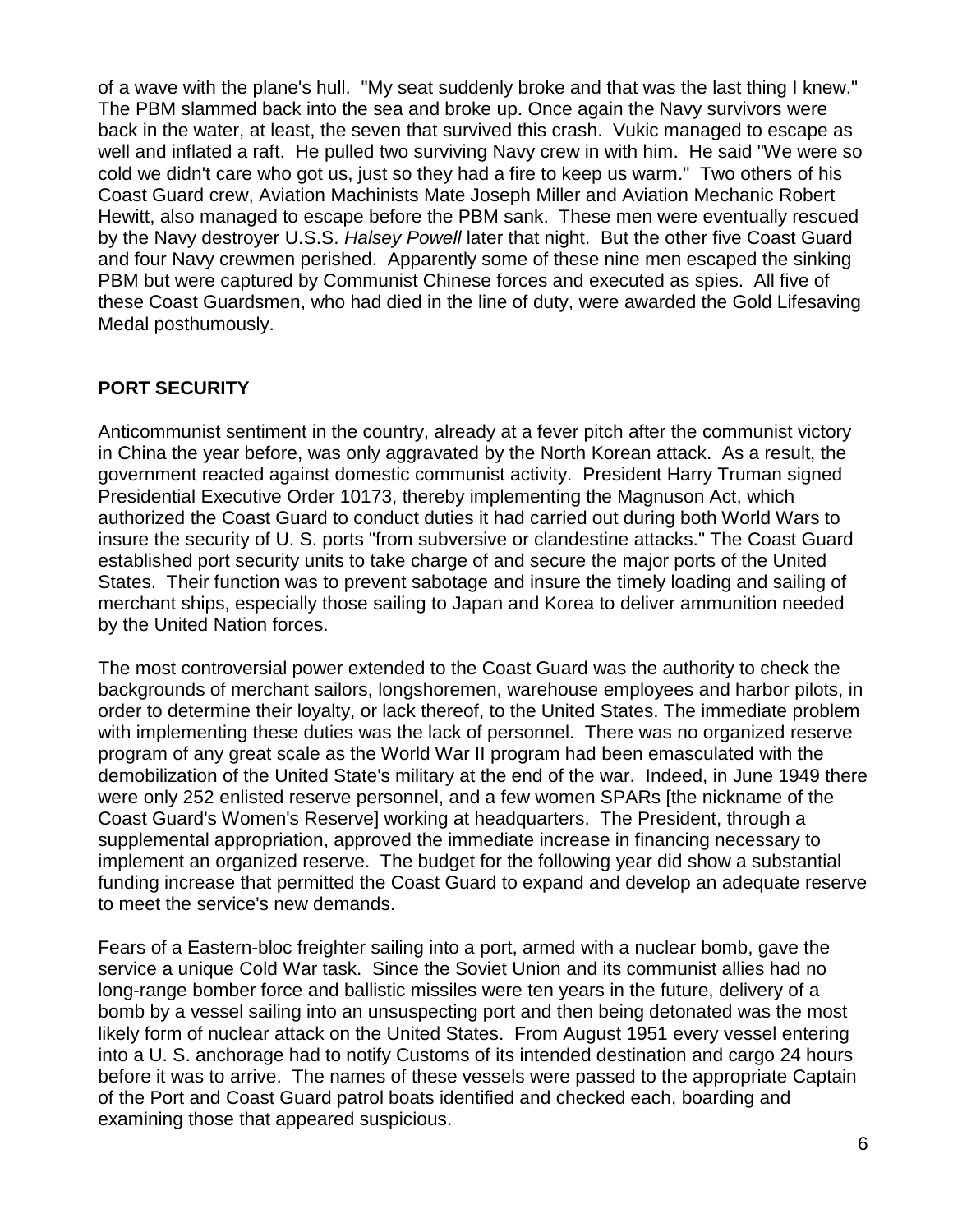of a wave with the plane's hull. "My seat suddenly broke and that was the last thing I knew." The PBM slammed back into the sea and broke up. Once again the Navy survivors were back in the water, at least, the seven that survived this crash. Vukic managed to escape as well and inflated a raft. He pulled two surviving Navy crew in with him. He said "We were so cold we didn't care who got us, just so they had a fire to keep us warm." Two others of his Coast Guard crew, Aviation Machinists Mate Joseph Miller and Aviation Mechanic Robert Hewitt, also managed to escape before the PBM sank. These men were eventually rescued by the Navy destroyer U.S.S. *Halsey Powell* later that night. But the other five Coast Guard and four Navy crewmen perished. Apparently some of these nine men escaped the sinking PBM but were captured by Communist Chinese forces and executed as spies. All five of these Coast Guardsmen, who had died in the line of duty, were awarded the Gold Lifesaving Medal posthumously.

### **PORT SECURITY**

Anticommunist sentiment in the country, already at a fever pitch after the communist victory in China the year before, was only aggravated by the North Korean attack. As a result, the government reacted against domestic communist activity. President Harry Truman signed Presidential Executive Order 10173, thereby implementing the Magnuson Act, which authorized the Coast Guard to conduct duties it had carried out during both World Wars to insure the security of U. S. ports "from subversive or clandestine attacks." The Coast Guard established port security units to take charge of and secure the major ports of the United States. Their function was to prevent sabotage and insure the timely loading and sailing of merchant ships, especially those sailing to Japan and Korea to deliver ammunition needed by the United Nation forces.

The most controversial power extended to the Coast Guard was the authority to check the backgrounds of merchant sailors, longshoremen, warehouse employees and harbor pilots, in order to determine their loyalty, or lack thereof, to the United States. The immediate problem with implementing these duties was the lack of personnel. There was no organized reserve program of any great scale as the World War II program had been emasculated with the demobilization of the United State's military at the end of the war. Indeed, in June 1949 there were only 252 enlisted reserve personnel, and a few women SPARs [the nickname of the Coast Guard's Women's Reserve] working at headquarters. The President, through a supplemental appropriation, approved the immediate increase in financing necessary to implement an organized reserve. The budget for the following year did show a substantial funding increase that permitted the Coast Guard to expand and develop an adequate reserve to meet the service's new demands.

Fears of a Eastern-bloc freighter sailing into a port, armed with a nuclear bomb, gave the service a unique Cold War task. Since the Soviet Union and its communist allies had no long-range bomber force and ballistic missiles were ten years in the future, delivery of a bomb by a vessel sailing into an unsuspecting port and then being detonated was the most likely form of nuclear attack on the United States. From August 1951 every vessel entering into a U. S. anchorage had to notify Customs of its intended destination and cargo 24 hours before it was to arrive. The names of these vessels were passed to the appropriate Captain of the Port and Coast Guard patrol boats identified and checked each, boarding and examining those that appeared suspicious.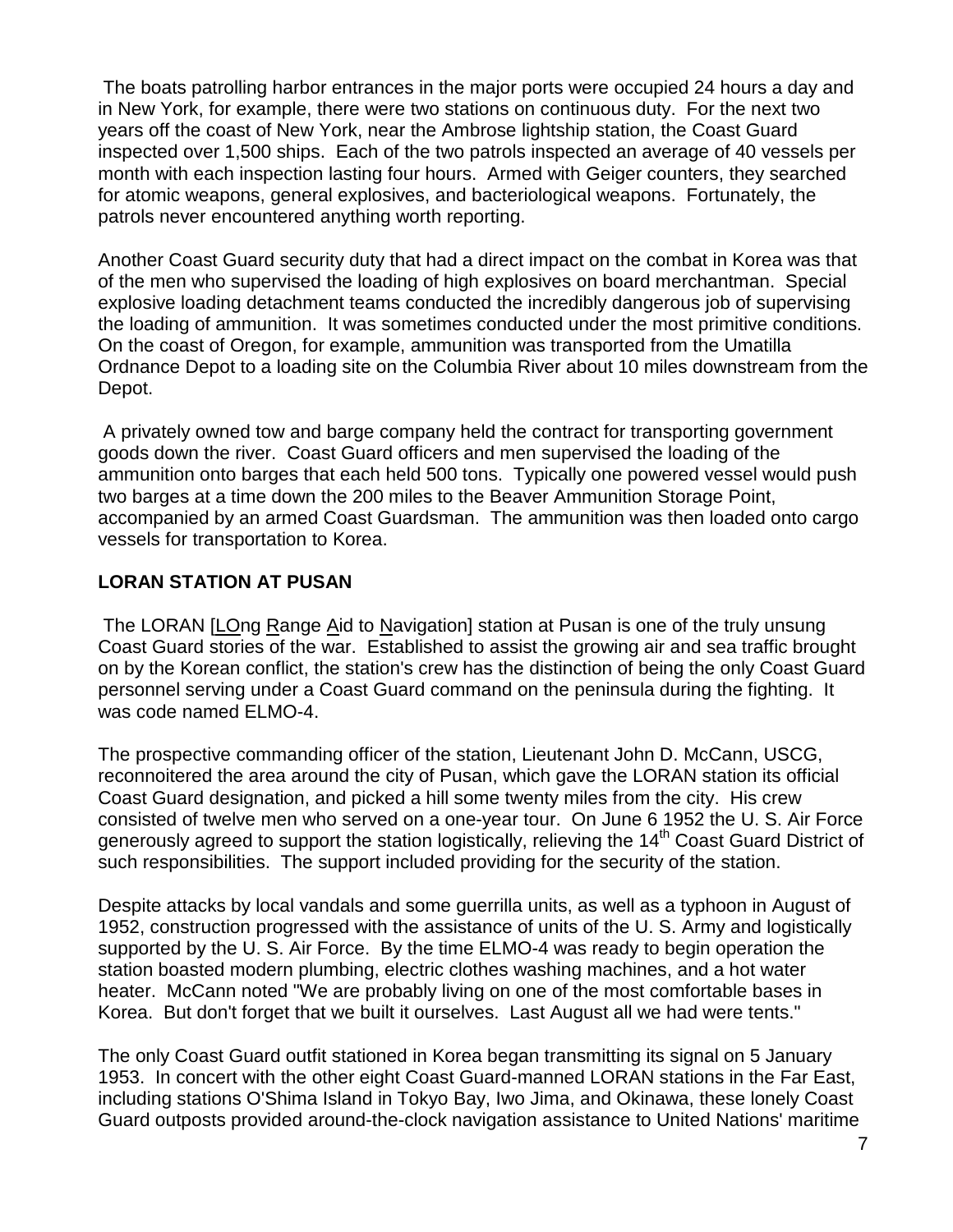The boats patrolling harbor entrances in the major ports were occupied 24 hours a day and in New York, for example, there were two stations on continuous duty. For the next two years off the coast of New York, near the Ambrose lightship station, the Coast Guard inspected over 1,500 ships. Each of the two patrols inspected an average of 40 vessels per month with each inspection lasting four hours. Armed with Geiger counters, they searched for atomic weapons, general explosives, and bacteriological weapons. Fortunately, the patrols never encountered anything worth reporting.

Another Coast Guard security duty that had a direct impact on the combat in Korea was that of the men who supervised the loading of high explosives on board merchantman. Special explosive loading detachment teams conducted the incredibly dangerous job of supervising the loading of ammunition. It was sometimes conducted under the most primitive conditions. On the coast of Oregon, for example, ammunition was transported from the Umatilla Ordnance Depot to a loading site on the Columbia River about 10 miles downstream from the Depot.

A privately owned tow and barge company held the contract for transporting government goods down the river. Coast Guard officers and men supervised the loading of the ammunition onto barges that each held 500 tons. Typically one powered vessel would push two barges at a time down the 200 miles to the Beaver Ammunition Storage Point, accompanied by an armed Coast Guardsman. The ammunition was then loaded onto cargo vessels for transportation to Korea.

### **LORAN STATION AT PUSAN**

The LORAN [LOng Range Aid to Navigation] station at Pusan is one of the truly unsung Coast Guard stories of the war. Established to assist the growing air and sea traffic brought on by the Korean conflict, the station's crew has the distinction of being the only Coast Guard personnel serving under a Coast Guard command on the peninsula during the fighting. It was code named ELMO-4.

The prospective commanding officer of the station, Lieutenant John D. McCann, USCG, reconnoitered the area around the city of Pusan, which gave the LORAN station its official Coast Guard designation, and picked a hill some twenty miles from the city. His crew consisted of twelve men who served on a one-year tour. On June 6 1952 the U. S. Air Force generously agreed to support the station logistically, relieving the 14<sup>th</sup> Coast Guard District of such responsibilities. The support included providing for the security of the station.

Despite attacks by local vandals and some guerrilla units, as well as a typhoon in August of 1952, construction progressed with the assistance of units of the U. S. Army and logistically supported by the U. S. Air Force. By the time ELMO-4 was ready to begin operation the station boasted modern plumbing, electric clothes washing machines, and a hot water heater. McCann noted "We are probably living on one of the most comfortable bases in Korea. But don't forget that we built it ourselves. Last August all we had were tents."

The only Coast Guard outfit stationed in Korea began transmitting its signal on 5 January 1953. In concert with the other eight Coast Guard-manned LORAN stations in the Far East, including stations O'Shima Island in Tokyo Bay, Iwo Jima, and Okinawa, these lonely Coast Guard outposts provided around-the-clock navigation assistance to United Nations' maritime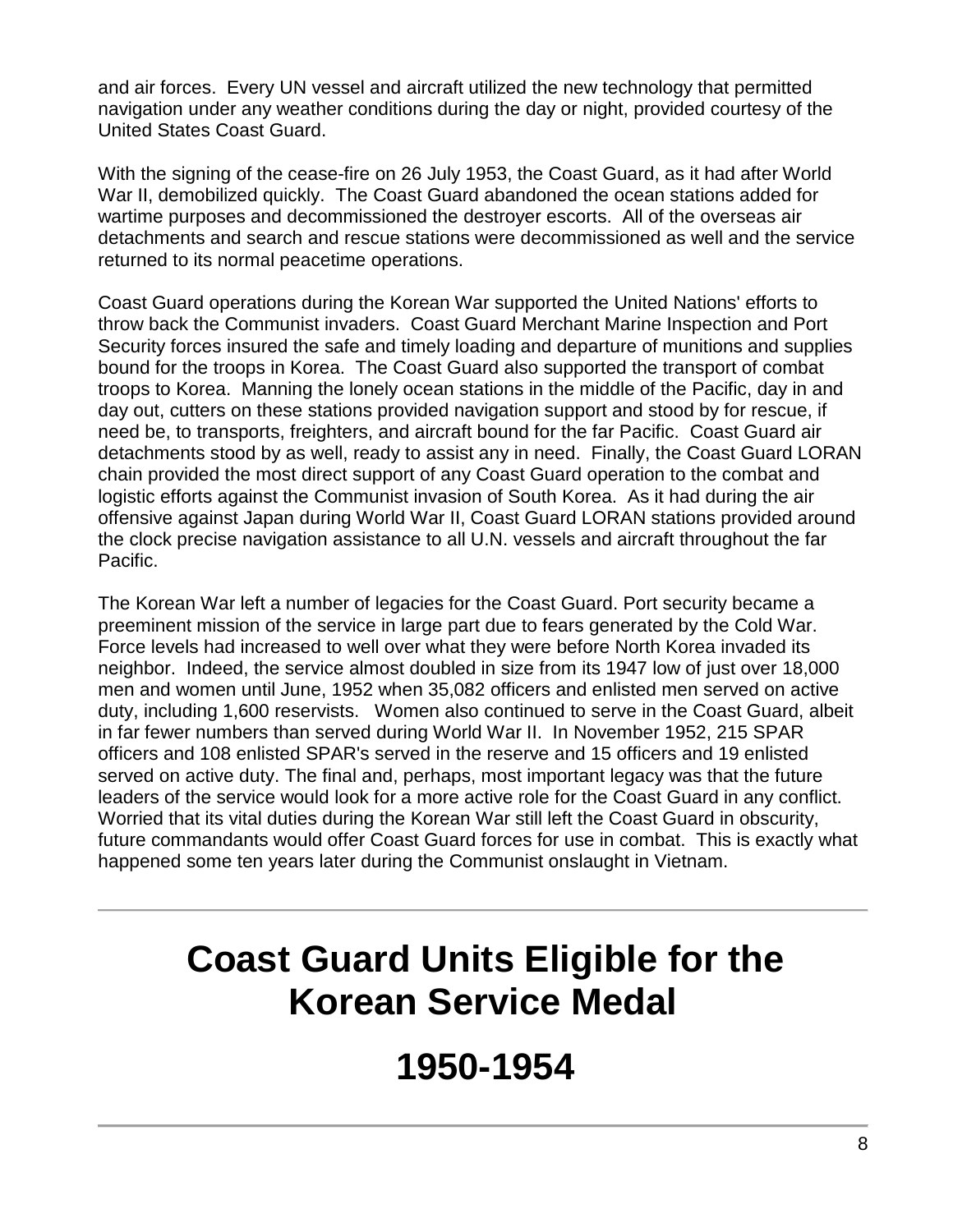and air forces. Every UN vessel and aircraft utilized the new technology that permitted navigation under any weather conditions during the day or night, provided courtesy of the United States Coast Guard.

With the signing of the cease-fire on 26 July 1953, the Coast Guard, as it had after World War II, demobilized quickly. The Coast Guard abandoned the ocean stations added for wartime purposes and decommissioned the destroyer escorts. All of the overseas air detachments and search and rescue stations were decommissioned as well and the service returned to its normal peacetime operations.

Coast Guard operations during the Korean War supported the United Nations' efforts to throw back the Communist invaders. Coast Guard Merchant Marine Inspection and Port Security forces insured the safe and timely loading and departure of munitions and supplies bound for the troops in Korea. The Coast Guard also supported the transport of combat troops to Korea. Manning the lonely ocean stations in the middle of the Pacific, day in and day out, cutters on these stations provided navigation support and stood by for rescue, if need be, to transports, freighters, and aircraft bound for the far Pacific. Coast Guard air detachments stood by as well, ready to assist any in need. Finally, the Coast Guard LORAN chain provided the most direct support of any Coast Guard operation to the combat and logistic efforts against the Communist invasion of South Korea. As it had during the air offensive against Japan during World War II, Coast Guard LORAN stations provided around the clock precise navigation assistance to all U.N. vessels and aircraft throughout the far Pacific.

The Korean War left a number of legacies for the Coast Guard. Port security became a preeminent mission of the service in large part due to fears generated by the Cold War. Force levels had increased to well over what they were before North Korea invaded its neighbor. Indeed, the service almost doubled in size from its 1947 low of just over 18,000 men and women until June, 1952 when 35,082 officers and enlisted men served on active duty, including 1,600 reservists. Women also continued to serve in the Coast Guard, albeit in far fewer numbers than served during World War II. In November 1952, 215 SPAR officers and 108 enlisted SPAR's served in the reserve and 15 officers and 19 enlisted served on active duty. The final and, perhaps, most important legacy was that the future leaders of the service would look for a more active role for the Coast Guard in any conflict. Worried that its vital duties during the Korean War still left the Coast Guard in obscurity, future commandants would offer Coast Guard forces for use in combat. This is exactly what happened some ten years later during the Communist onslaught in Vietnam.

## **Coast Guard Units Eligible for the Korean Service Medal**

### **1950-1954**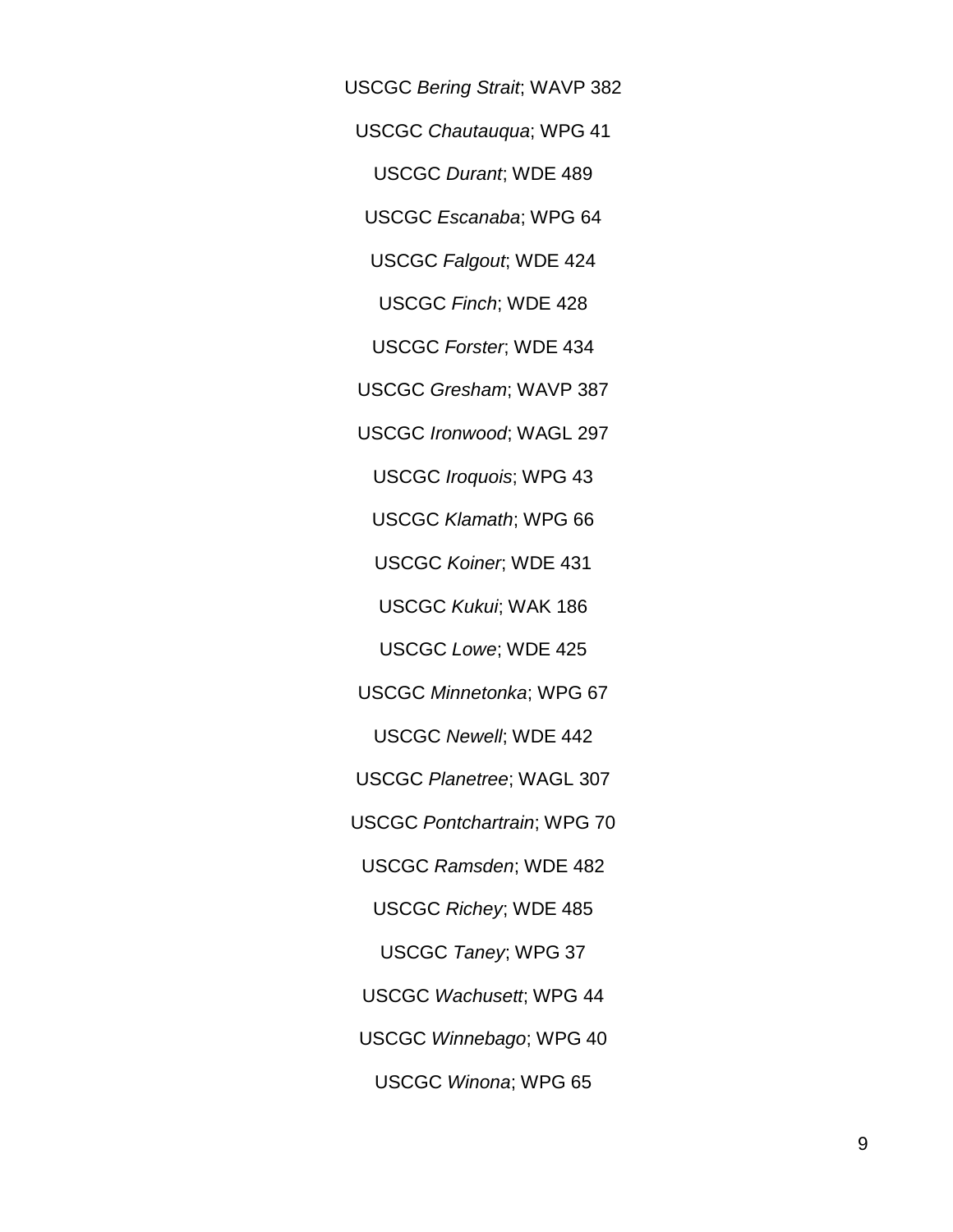USCGC *Bering Strait*; WAVP 382

USCGC *Chautauqua*; WPG 41

USCGC *Durant*; WDE 489

USCGC *Escanaba*; WPG 64

USCGC *Falgout*; WDE 424

USCGC *Finch*; WDE 428

USCGC *Forster*; WDE 434

USCGC *Gresham*; WAVP 387

USCGC *Ironwood*; WAGL 297

USCGC *Iroquois*; WPG 43

USCGC *Klamath*; WPG 66

USCGC *Koiner*; WDE 431

USCGC *Kukui*; WAK 186

USCGC *Lowe*; WDE 425

USCGC *Minnetonka*; WPG 67

USCGC *Newell*; WDE 442

USCGC *Planetree*; WAGL 307

USCGC *Pontchartrain*; WPG 70

USCGC *Ramsden*; WDE 482

USCGC *Richey*; WDE 485

USCGC *Taney*; WPG 37

USCGC *Wachusett*; WPG 44

USCGC *Winnebago*; WPG 40

USCGC *Winona*; WPG 65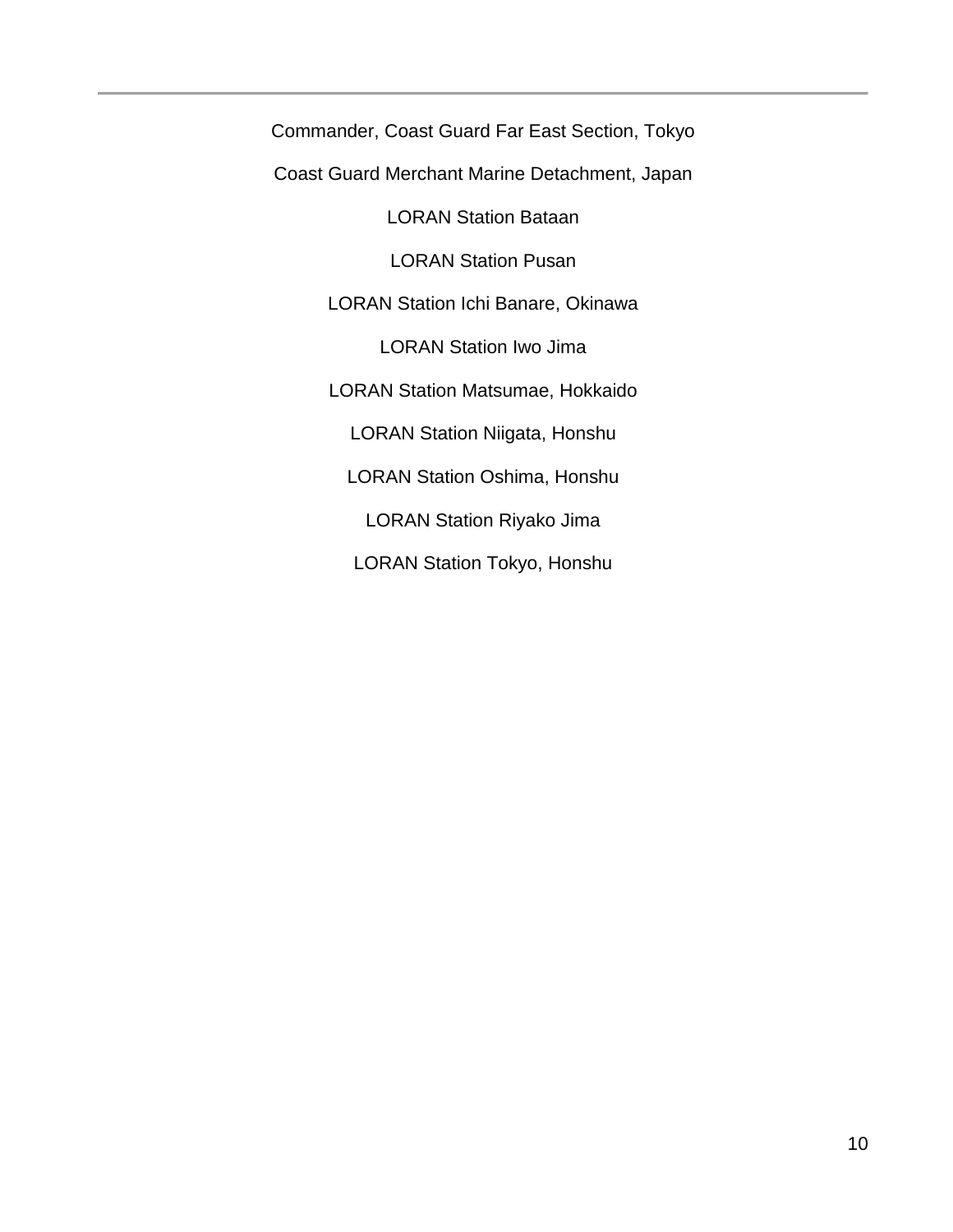Commander, Coast Guard Far East Section, Tokyo Coast Guard Merchant Marine Detachment, Japan LORAN Station Bataan LORAN Station Pusan LORAN Station Ichi Banare, Okinawa LORAN Station Iwo Jima LORAN Station Matsumae, Hokkaido LORAN Station Niigata, Honshu LORAN Station Oshima, Honshu LORAN Station Riyako Jima LORAN Station Tokyo, Honshu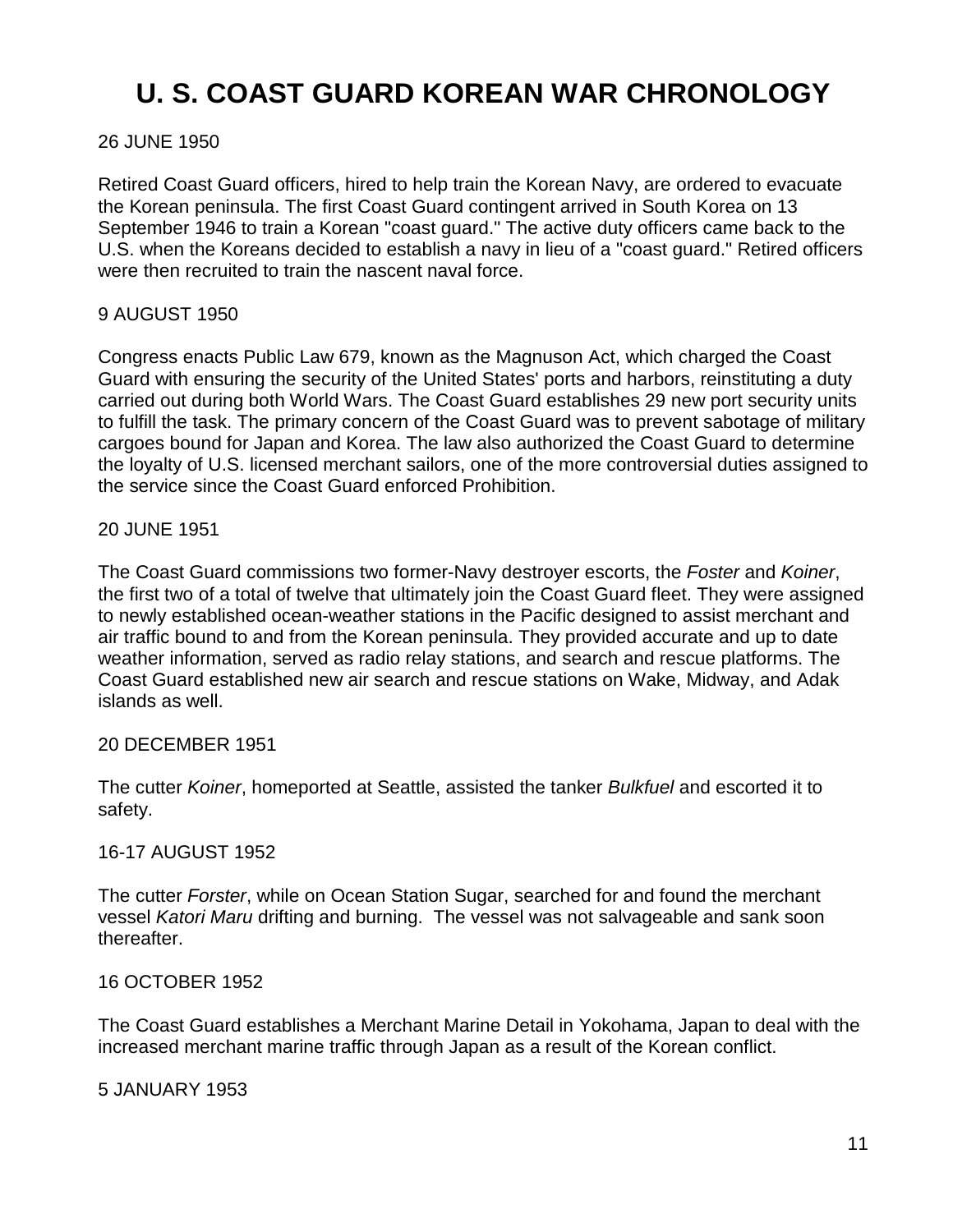### **U. S. COAST GUARD KOREAN WAR CHRONOLOGY**

### 26 JUNE 1950

Retired Coast Guard officers, hired to help train the Korean Navy, are ordered to evacuate the Korean peninsula. The first Coast Guard contingent arrived in South Korea on 13 September 1946 to train a Korean "coast guard." The active duty officers came back to the U.S. when the Koreans decided to establish a navy in lieu of a "coast guard." Retired officers were then recruited to train the nascent naval force.

### 9 AUGUST 1950

Congress enacts Public Law 679, known as the Magnuson Act, which charged the Coast Guard with ensuring the security of the United States' ports and harbors, reinstituting a duty carried out during both World Wars. The Coast Guard establishes 29 new port security units to fulfill the task. The primary concern of the Coast Guard was to prevent sabotage of military cargoes bound for Japan and Korea. The law also authorized the Coast Guard to determine the loyalty of U.S. licensed merchant sailors, one of the more controversial duties assigned to the service since the Coast Guard enforced Prohibition.

### 20 JUNE 1951

The Coast Guard commissions two former-Navy destroyer escorts, the *Foster* and *Koiner*, the first two of a total of twelve that ultimately join the Coast Guard fleet. They were assigned to newly established ocean-weather stations in the Pacific designed to assist merchant and air traffic bound to and from the Korean peninsula. They provided accurate and up to date weather information, served as radio relay stations, and search and rescue platforms. The Coast Guard established new air search and rescue stations on Wake, Midway, and Adak islands as well.

### 20 DECEMBER 1951

The cutter *Koiner*, homeported at Seattle, assisted the tanker *Bulkfuel* and escorted it to safety.

### 16-17 AUGUST 1952

The cutter *Forster*, while on Ocean Station Sugar, searched for and found the merchant vessel *Katori Maru* drifting and burning. The vessel was not salvageable and sank soon thereafter.

### 16 OCTOBER 1952

The Coast Guard establishes a Merchant Marine Detail in Yokohama, Japan to deal with the increased merchant marine traffic through Japan as a result of the Korean conflict.

### 5 JANUARY 1953